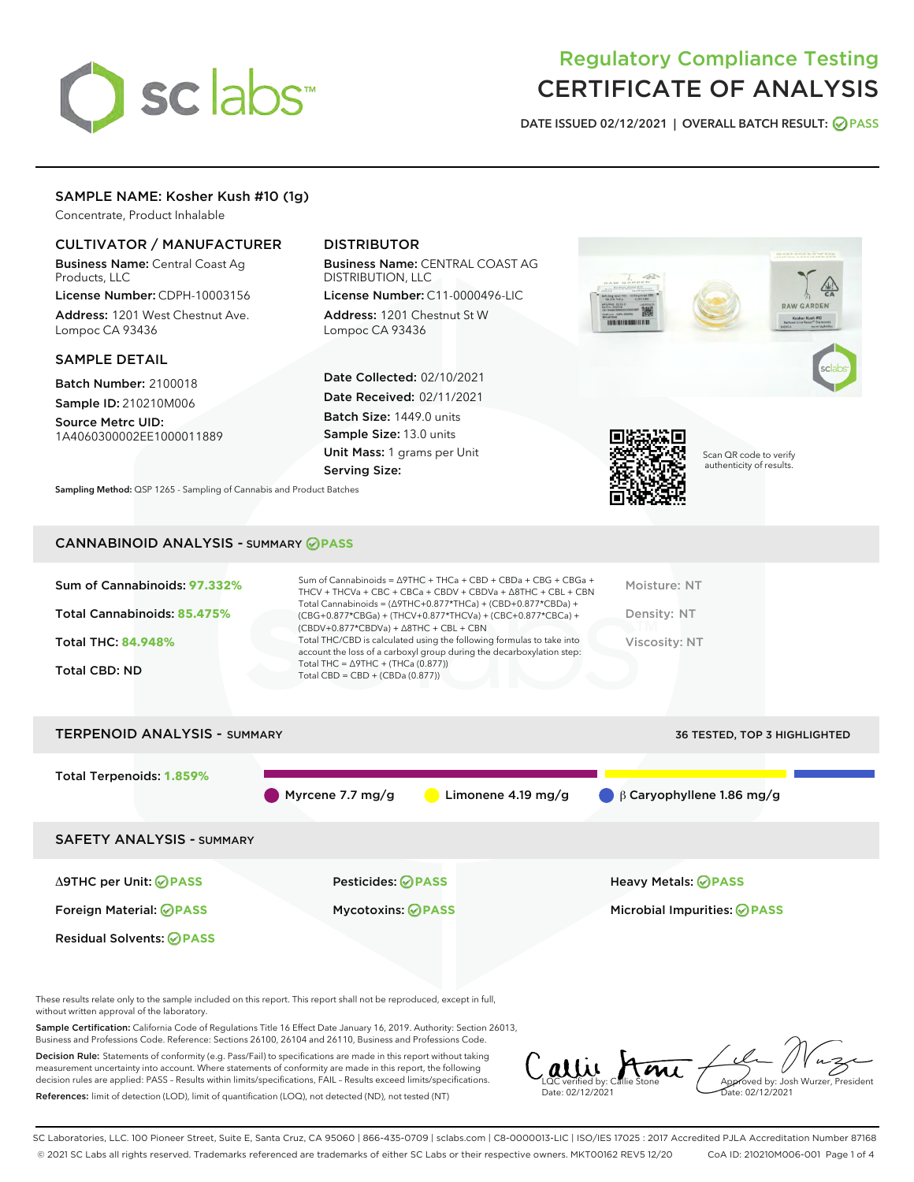# sclabs

# Regulatory Compliance Testing CERTIFICATE OF ANALYSIS

DATE ISSUED 02/12/2021 | OVERALL BATCH RESULT: @ PASS

# SAMPLE NAME: Kosher Kush #10 (1g)

Concentrate, Product Inhalable

# CULTIVATOR / MANUFACTURER

Business Name: Central Coast Ag Products, LLC

License Number: CDPH-10003156 Address: 1201 West Chestnut Ave. Lompoc CA 93436

#### SAMPLE DETAIL

Batch Number: 2100018 Sample ID: 210210M006

Source Metrc UID: 1A4060300002EE1000011889

# DISTRIBUTOR

Business Name: CENTRAL COAST AG DISTRIBUTION, LLC

License Number: C11-0000496-LIC Address: 1201 Chestnut St W Lompoc CA 93436

Date Collected: 02/10/2021 Date Received: 02/11/2021 Batch Size: 1449.0 units Sample Size: 13.0 units Unit Mass: 1 grams per Unit Serving Size:



Sampling Method: QSP 1265 - Sampling of Cannabis and Product Batches

# CANNABINOID ANALYSIS - SUMMARY **PASS**

| Sum of Cannabinoids: 97.332%<br>Total Cannabinoids: 85.475%<br><b>Total THC: 84.948%</b><br><b>Total CBD: ND</b> | Sum of Cannabinoids = $\triangle$ 9THC + THCa + CBD + CBDa + CBG + CBGa +<br>THCV + THCVa + CBC + CBCa + CBDV + CBDVa + $\Delta$ 8THC + CBL + CBN<br>Total Cannabinoids = $(\Delta$ 9THC+0.877*THCa) + (CBD+0.877*CBDa) +<br>(CBG+0.877*CBGa) + (THCV+0.877*THCVa) + (CBC+0.877*CBCa) +<br>$(CBDV+0.877*CBDVa) + \Delta 8THC + CBL + CBN$<br>Total THC/CBD is calculated using the following formulas to take into<br>account the loss of a carboxyl group during the decarboxylation step:<br>Total THC = $\triangle$ 9THC + (THCa (0.877))<br>Total CBD = $CBD + (CBDa (0.877))$ | Moisture: NT<br>Density: NT<br>Viscosity: NT |
|------------------------------------------------------------------------------------------------------------------|------------------------------------------------------------------------------------------------------------------------------------------------------------------------------------------------------------------------------------------------------------------------------------------------------------------------------------------------------------------------------------------------------------------------------------------------------------------------------------------------------------------------------------------------------------------------------------|----------------------------------------------|
| <b>TERPENOID ANALYSIS - SUMMARY</b>                                                                              |                                                                                                                                                                                                                                                                                                                                                                                                                                                                                                                                                                                    | <b>36 TESTED. TOP 3 HIGHLIGHTED</b>          |

Total Terpenoids: **1.859%** Myrcene 7.7 mg/g Limonene 4.19 mg/g β Caryophyllene 1.86 mg/g SAFETY ANALYSIS - SUMMARY Δ9THC per Unit: **PASS** Pesticides: **PASS** Heavy Metals: **PASS** Foreign Material: **PASS** Mycotoxins: **PASS** Microbial Impurities: **PASS** Residual Solvents: **PASS** 

These results relate only to the sample included on this report. This report shall not be reproduced, except in full, without written approval of the laboratory.

Sample Certification: California Code of Regulations Title 16 Effect Date January 16, 2019. Authority: Section 26013, Business and Professions Code. Reference: Sections 26100, 26104 and 26110, Business and Professions Code.

Decision Rule: Statements of conformity (e.g. Pass/Fail) to specifications are made in this report without taking measurement uncertainty into account. Where statements of conformity are made in this report, the following decision rules are applied: PASS – Results within limits/specifications, FAIL – Results exceed limits/specifications. References: limit of detection (LOD), limit of quantification (LOQ), not detected (ND), not tested (NT)

LQC verified by: Callie Stone Date: 02/12/2021 Aved by: Josh Wurzer, President Date: 02/12/2021

SC Laboratories, LLC. 100 Pioneer Street, Suite E, Santa Cruz, CA 95060 | 866-435-0709 | sclabs.com | C8-0000013-LIC | ISO/IES 17025 : 2017 Accredited PJLA Accreditation Number 87168 © 2021 SC Labs all rights reserved. Trademarks referenced are trademarks of either SC Labs or their respective owners. MKT00162 REV5 12/20 CoA ID: 210210M006-001 Page 1 of 4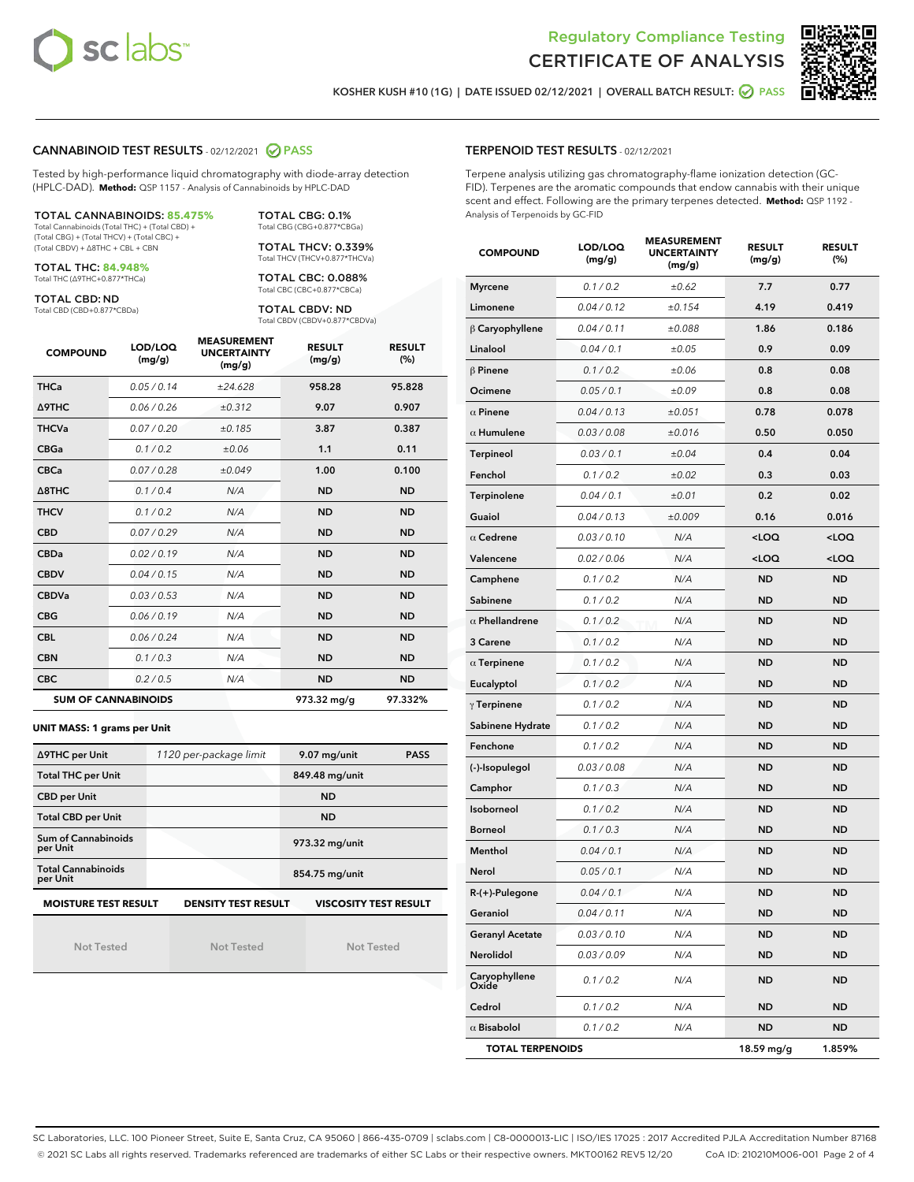



KOSHER KUSH #10 (1G) | DATE ISSUED 02/12/2021 | OVERALL BATCH RESULT: @ PASS

#### CANNABINOID TEST RESULTS - 02/12/2021 2 PASS

Tested by high-performance liquid chromatography with diode-array detection (HPLC-DAD). **Method:** QSP 1157 - Analysis of Cannabinoids by HPLC-DAD

#### TOTAL CANNABINOIDS: **85.475%**

Total Cannabinoids (Total THC) + (Total CBD) + (Total CBG) + (Total THCV) + (Total CBC) + (Total CBDV) + ∆8THC + CBL + CBN

TOTAL THC: **84.948%** Total THC (∆9THC+0.877\*THCa)

TOTAL CBD: ND

Total CBD (CBD+0.877\*CBDa)

TOTAL CBG: 0.1% Total CBG (CBG+0.877\*CBGa)

TOTAL THCV: 0.339% Total THCV (THCV+0.877\*THCVa)

TOTAL CBC: 0.088% Total CBC (CBC+0.877\*CBCa)

TOTAL CBDV: ND Total CBDV (CBDV+0.877\*CBDVa)

| <b>COMPOUND</b>  | LOD/LOQ<br>(mg/g)          | <b>MEASUREMENT</b><br><b>UNCERTAINTY</b><br>(mg/g) | <b>RESULT</b><br>(mg/g) | <b>RESULT</b><br>(%) |
|------------------|----------------------------|----------------------------------------------------|-------------------------|----------------------|
| <b>THCa</b>      | 0.05/0.14                  | ±24.628                                            | 958.28                  | 95.828               |
| <b>A9THC</b>     | 0.06 / 0.26                | ±0.312                                             | 9.07                    | 0.907                |
| <b>THCVa</b>     | 0.07/0.20                  | ±0.185                                             | 3.87                    | 0.387                |
| <b>CBGa</b>      | 0.1/0.2                    | ±0.06                                              | 1.1                     | 0.11                 |
| <b>CBCa</b>      | 0.07 / 0.28                | ±0.049                                             | 1.00                    | 0.100                |
| $\triangle$ 8THC | 0.1/0.4                    | N/A                                                | <b>ND</b>               | <b>ND</b>            |
| <b>THCV</b>      | 0.1/0.2                    | N/A                                                | <b>ND</b>               | <b>ND</b>            |
| <b>CBD</b>       | 0.07/0.29                  | N/A                                                | <b>ND</b>               | <b>ND</b>            |
| <b>CBDa</b>      | 0.02/0.19                  | N/A                                                | <b>ND</b>               | <b>ND</b>            |
| <b>CBDV</b>      | 0.04 / 0.15                | N/A                                                | <b>ND</b>               | <b>ND</b>            |
| <b>CBDVa</b>     | 0.03/0.53                  | N/A                                                | <b>ND</b>               | <b>ND</b>            |
| <b>CBG</b>       | 0.06/0.19                  | N/A                                                | <b>ND</b>               | <b>ND</b>            |
| <b>CBL</b>       | 0.06/0.24                  | N/A                                                | <b>ND</b>               | <b>ND</b>            |
| <b>CBN</b>       | 0.1/0.3                    | N/A                                                | <b>ND</b>               | <b>ND</b>            |
| <b>CBC</b>       | 0.2 / 0.5                  | N/A                                                | <b>ND</b>               | <b>ND</b>            |
|                  | <b>SUM OF CANNABINOIDS</b> |                                                    | 973.32 mg/g             | 97.332%              |

#### **UNIT MASS: 1 grams per Unit**

| ∆9THC per Unit                                                                            | 1120 per-package limit | 9.07 mg/unit<br><b>PASS</b> |  |  |  |
|-------------------------------------------------------------------------------------------|------------------------|-----------------------------|--|--|--|
| <b>Total THC per Unit</b>                                                                 |                        | 849.48 mg/unit              |  |  |  |
| <b>CBD per Unit</b>                                                                       |                        | <b>ND</b>                   |  |  |  |
| <b>Total CBD per Unit</b>                                                                 |                        | <b>ND</b>                   |  |  |  |
| Sum of Cannabinoids<br>per Unit                                                           |                        | 973.32 mg/unit              |  |  |  |
| <b>Total Cannabinoids</b><br>per Unit                                                     |                        | 854.75 mg/unit              |  |  |  |
| <b>MOISTURE TEST RESULT</b><br><b>VISCOSITY TEST RESULT</b><br><b>DENSITY TEST RESULT</b> |                        |                             |  |  |  |

Not Tested

Not Tested

Not Tested

#### TERPENOID TEST RESULTS - 02/12/2021

Terpene analysis utilizing gas chromatography-flame ionization detection (GC-FID). Terpenes are the aromatic compounds that endow cannabis with their unique scent and effect. Following are the primary terpenes detected. **Method:** QSP 1192 - Analysis of Terpenoids by GC-FID

| <b>COMPOUND</b>         | LOD/LOQ<br>(mg/g) | <b>MEASUREMENT</b><br><b>UNCERTAINTY</b><br>(mg/g) | <b>RESULT</b><br>(mg/g)                         | <b>RESULT</b><br>$(\%)$ |
|-------------------------|-------------------|----------------------------------------------------|-------------------------------------------------|-------------------------|
| <b>Myrcene</b>          | 0.1 / 0.2         | ±0.62                                              | 7.7                                             | 0.77                    |
| Limonene                | 0.04 / 0.12       | ±0.154                                             | 4.19                                            | 0.419                   |
| $\beta$ Caryophyllene   | 0.04 / 0.11       | ±0.088                                             | 1.86                                            | 0.186                   |
| Linalool                | 0.04 / 0.1        | ±0.05                                              | 0.9                                             | 0.09                    |
| $\beta$ Pinene          | 0.1 / 0.2         | ±0.06                                              | 0.8                                             | 0.08                    |
| Ocimene                 | 0.05 / 0.1        | ±0.09                                              | 0.8                                             | 0.08                    |
| $\alpha$ Pinene         | 0.04 / 0.13       | ±0.051                                             | 0.78                                            | 0.078                   |
| $\alpha$ Humulene       | 0.03 / 0.08       | ±0.016                                             | 0.50                                            | 0.050                   |
| Terpineol               | 0.03 / 0.1        | ±0.04                                              | 0.4                                             | 0.04                    |
| Fenchol                 | 0.1 / 0.2         | ±0.02                                              | 0.3                                             | 0.03                    |
| Terpinolene             | 0.04 / 0.1        | ±0.01                                              | 0.2                                             | 0.02                    |
| Guaiol                  | 0.04 / 0.13       | ±0.009                                             | 0.16                                            | 0.016                   |
| $\alpha$ Cedrene        | 0.03 / 0.10       | N/A                                                | $<$ LOQ                                         | $<$ LOQ                 |
| Valencene               | 0.02 / 0.06       | N/A                                                | <loq< td=""><td><loq< td=""></loq<></td></loq<> | <loq< td=""></loq<>     |
| Camphene                | 0.1 / 0.2         | N/A                                                | ND                                              | <b>ND</b>               |
| Sabinene                | 0.1 / 0.2         | N/A                                                | <b>ND</b>                                       | <b>ND</b>               |
| $\alpha$ Phellandrene   | 0.1 / 0.2         | N/A                                                | <b>ND</b>                                       | <b>ND</b>               |
| 3 Carene                | 0.1 / 0.2         | N/A                                                | <b>ND</b>                                       | <b>ND</b>               |
| $\alpha$ Terpinene      | 0.1 / 0.2         | N/A                                                | <b>ND</b>                                       | <b>ND</b>               |
| Eucalyptol              | 0.1 / 0.2         | N/A                                                | <b>ND</b>                                       | <b>ND</b>               |
| $\gamma$ Terpinene      | 0.1 / 0.2         | N/A                                                | ND                                              | <b>ND</b>               |
| Sabinene Hydrate        | 0.1 / 0.2         | N/A                                                | <b>ND</b>                                       | <b>ND</b>               |
| Fenchone                | 0.1 / 0.2         | N/A                                                | <b>ND</b>                                       | <b>ND</b>               |
| (-)-Isopulegol          | 0.03 / 0.08       | N/A                                                | <b>ND</b>                                       | <b>ND</b>               |
| Camphor                 | 0.1 / 0.3         | N/A                                                | <b>ND</b>                                       | <b>ND</b>               |
| Isoborneol              | 0.1 / 0.2         | N/A                                                | <b>ND</b>                                       | <b>ND</b>               |
| <b>Borneol</b>          | 0.1 / 0.3         | N/A                                                | ND                                              | <b>ND</b>               |
| Menthol                 | 0.04 / 0.1        | N/A                                                | <b>ND</b>                                       | <b>ND</b>               |
| Nerol                   | 0.05 / 0.1        | N/A                                                | <b>ND</b>                                       | <b>ND</b>               |
| R-(+)-Pulegone          | 0.04 / 0.1        | N/A                                                | ND                                              | <b>ND</b>               |
| Geraniol                | 0.04 / 0.11       | N/A                                                | ND                                              | ND                      |
| <b>Geranyl Acetate</b>  | 0.03 / 0.10       | N/A                                                | ND                                              | ND                      |
| Nerolidol               | 0.03 / 0.09       | N/A                                                | ND                                              | ND                      |
| Caryophyllene<br>Oxide  | 0.1 / 0.2         | N/A                                                | ND                                              | <b>ND</b>               |
| Cedrol                  | 0.1/0.2           | N/A                                                | ND                                              | <b>ND</b>               |
| $\alpha$ Bisabolol      | 0.1 / 0.2         | N/A                                                | ND                                              | ND                      |
| <b>TOTAL TERPENOIDS</b> |                   |                                                    | 18.59 mg/g                                      | 1.859%                  |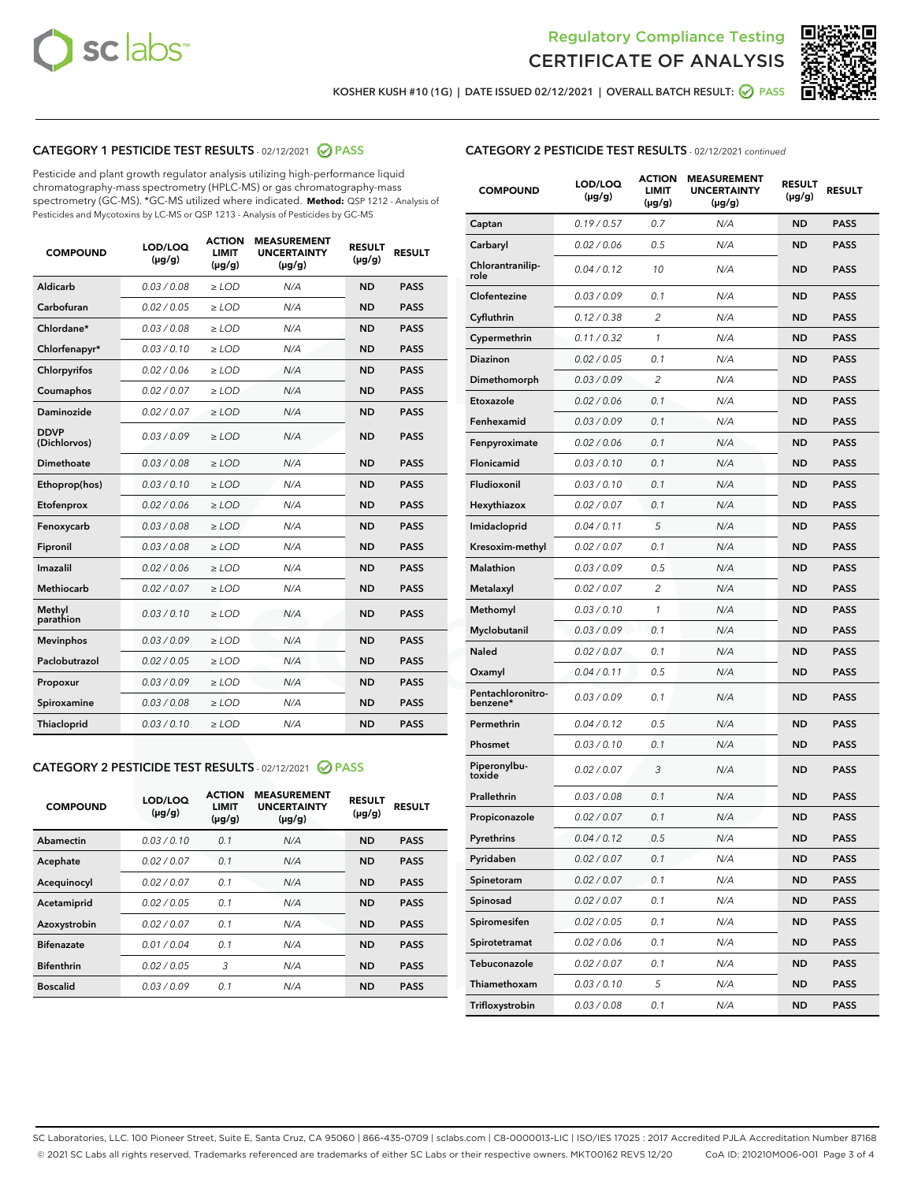



KOSHER KUSH #10 (1G) | DATE ISSUED 02/12/2021 | OVERALL BATCH RESULT: @ PASS

# CATEGORY 1 PESTICIDE TEST RESULTS - 02/12/2021 2 PASS

Pesticide and plant growth regulator analysis utilizing high-performance liquid chromatography-mass spectrometry (HPLC-MS) or gas chromatography-mass spectrometry (GC-MS). \*GC-MS utilized where indicated. **Method:** QSP 1212 - Analysis of Pesticides and Mycotoxins by LC-MS or QSP 1213 - Analysis of Pesticides by GC-MS

| <b>COMPOUND</b>             | LOD/LOQ<br>$(\mu g/g)$ | <b>ACTION</b><br>LIMIT<br>$(\mu g/g)$ | <b>MEASUREMENT</b><br><b>UNCERTAINTY</b><br>$(\mu g/g)$ | <b>RESULT</b><br>$(\mu g/g)$ | <b>RESULT</b> |
|-----------------------------|------------------------|---------------------------------------|---------------------------------------------------------|------------------------------|---------------|
| Aldicarb                    | 0.03/0.08              | $>$ LOD                               | N/A                                                     | <b>ND</b>                    | <b>PASS</b>   |
| Carbofuran                  | 0.02 / 0.05            | $\ge$ LOD                             | N/A                                                     | <b>ND</b>                    | <b>PASS</b>   |
| Chlordane*                  | 0.03 / 0.08            | $\ge$ LOD                             | N/A                                                     | <b>ND</b>                    | <b>PASS</b>   |
| Chlorfenapyr*               | 0.03/0.10              | $\ge$ LOD                             | N/A                                                     | <b>ND</b>                    | <b>PASS</b>   |
| Chlorpyrifos                | 0.02 / 0.06            | $\ge$ LOD                             | N/A                                                     | <b>ND</b>                    | <b>PASS</b>   |
| Coumaphos                   | 0.02 / 0.07            | $\ge$ LOD                             | N/A                                                     | <b>ND</b>                    | <b>PASS</b>   |
| Daminozide                  | 0.02/0.07              | $>$ LOD                               | N/A                                                     | <b>ND</b>                    | <b>PASS</b>   |
| <b>DDVP</b><br>(Dichlorvos) | 0.03/0.09              | $\ge$ LOD                             | N/A                                                     | <b>ND</b>                    | <b>PASS</b>   |
| <b>Dimethoate</b>           | 0.03 / 0.08            | $\ge$ LOD                             | N/A                                                     | <b>ND</b>                    | <b>PASS</b>   |
| Ethoprop(hos)               | 0.03/0.10              | $\ge$ LOD                             | N/A                                                     | <b>ND</b>                    | <b>PASS</b>   |
| Etofenprox                  | 0.02 / 0.06            | $\ge$ LOD                             | N/A                                                     | <b>ND</b>                    | <b>PASS</b>   |
| Fenoxycarb                  | 0.03 / 0.08            | $\ge$ LOD                             | N/A                                                     | <b>ND</b>                    | <b>PASS</b>   |
| Fipronil                    | 0.03 / 0.08            | $\ge$ LOD                             | N/A                                                     | <b>ND</b>                    | <b>PASS</b>   |
| Imazalil                    | 0.02 / 0.06            | $>$ LOD                               | N/A                                                     | <b>ND</b>                    | <b>PASS</b>   |
| Methiocarb                  | 0.02 / 0.07            | $>$ LOD                               | N/A                                                     | <b>ND</b>                    | <b>PASS</b>   |
| Methyl<br>parathion         | 0.03/0.10              | $>$ LOD                               | N/A                                                     | <b>ND</b>                    | <b>PASS</b>   |
| <b>Mevinphos</b>            | 0.03/0.09              | $>$ LOD                               | N/A                                                     | <b>ND</b>                    | <b>PASS</b>   |
| Paclobutrazol               | 0.02 / 0.05            | $>$ LOD                               | N/A                                                     | <b>ND</b>                    | <b>PASS</b>   |
| Propoxur                    | 0.03/0.09              | $\ge$ LOD                             | N/A                                                     | <b>ND</b>                    | <b>PASS</b>   |
| Spiroxamine                 | 0.03 / 0.08            | $\ge$ LOD                             | N/A                                                     | <b>ND</b>                    | <b>PASS</b>   |
| Thiacloprid                 | 0.03/0.10              | $\ge$ LOD                             | N/A                                                     | <b>ND</b>                    | <b>PASS</b>   |

#### CATEGORY 2 PESTICIDE TEST RESULTS - 02/12/2021 @ PASS

| <b>COMPOUND</b>   | LOD/LOQ<br>$(\mu g/g)$ | <b>ACTION</b><br><b>LIMIT</b><br>$(\mu g/g)$ | <b>MEASUREMENT</b><br><b>UNCERTAINTY</b><br>$(\mu g/g)$ | <b>RESULT</b><br>$(\mu g/g)$ | <b>RESULT</b> |
|-------------------|------------------------|----------------------------------------------|---------------------------------------------------------|------------------------------|---------------|
| Abamectin         | 0.03/0.10              | 0.1                                          | N/A                                                     | <b>ND</b>                    | <b>PASS</b>   |
| Acephate          | 0.02/0.07              | 0.1                                          | N/A                                                     | <b>ND</b>                    | <b>PASS</b>   |
| Acequinocyl       | 0.02/0.07              | 0.1                                          | N/A                                                     | <b>ND</b>                    | <b>PASS</b>   |
| Acetamiprid       | 0.02/0.05              | 0.1                                          | N/A                                                     | <b>ND</b>                    | <b>PASS</b>   |
| Azoxystrobin      | 0.02/0.07              | 0.1                                          | N/A                                                     | <b>ND</b>                    | <b>PASS</b>   |
| <b>Bifenazate</b> | 0.01/0.04              | 0.1                                          | N/A                                                     | <b>ND</b>                    | <b>PASS</b>   |
| <b>Bifenthrin</b> | 0.02/0.05              | 3                                            | N/A                                                     | <b>ND</b>                    | <b>PASS</b>   |
| <b>Boscalid</b>   | 0.03/0.09              | 0.1                                          | N/A                                                     | <b>ND</b>                    | <b>PASS</b>   |

|  | <b>CATEGORY 2 PESTICIDE TEST RESULTS</b> - 02/12/2021 continued |  |  |
|--|-----------------------------------------------------------------|--|--|
|--|-----------------------------------------------------------------|--|--|

| <b>COMPOUND</b>               | LOD/LOQ<br>(µg/g) | <b>ACTION</b><br>LIMIT<br>(µg/g) | <b>MEASUREMENT</b><br><b>UNCERTAINTY</b><br>(µg/g) | <b>RESULT</b><br>(µg/g) | <b>RESULT</b> |
|-------------------------------|-------------------|----------------------------------|----------------------------------------------------|-------------------------|---------------|
| Captan                        | 0.19 / 0.57       | 0.7                              | N/A                                                | <b>ND</b>               | <b>PASS</b>   |
| Carbaryl                      | 0.02 / 0.06       | 0.5                              | N/A                                                | <b>ND</b>               | <b>PASS</b>   |
| Chlorantranilip-<br>role      | 0.04 / 0.12       | 10                               | N/A                                                | ND                      | <b>PASS</b>   |
| Clofentezine                  | 0.03 / 0.09       | 0.1                              | N/A                                                | ND                      | <b>PASS</b>   |
| Cyfluthrin                    | 0.12 / 0.38       | $\overline{c}$                   | N/A                                                | ND                      | <b>PASS</b>   |
| Cypermethrin                  | 0.11 / 0.32       | 1                                | N/A                                                | ND                      | <b>PASS</b>   |
| Diazinon                      | 0.02 / 0.05       | 0.1                              | N/A                                                | ND                      | <b>PASS</b>   |
| Dimethomorph                  | 0.03 / 0.09       | $\overline{c}$                   | N/A                                                | ND                      | PASS          |
| Etoxazole                     | 0.02 / 0.06       | 0.1                              | N/A                                                | ND                      | <b>PASS</b>   |
| Fenhexamid                    | 0.03 / 0.09       | 0.1                              | N/A                                                | ND                      | <b>PASS</b>   |
| Fenpyroximate                 | 0.02 / 0.06       | 0.1                              | N/A                                                | ND                      | PASS          |
| Flonicamid                    | 0.03 / 0.10       | 0.1                              | N/A                                                | ND                      | <b>PASS</b>   |
| Fludioxonil                   | 0.03/0.10         | 0.1                              | N/A                                                | ND                      | <b>PASS</b>   |
| Hexythiazox                   | 0.02 / 0.07       | 0.1                              | N/A                                                | ND                      | PASS          |
| Imidacloprid                  | 0.04 / 0.11       | 5                                | N/A                                                | ND                      | PASS          |
| Kresoxim-methyl               | 0.02 / 0.07       | 0.1                              | N/A                                                | ND                      | PASS          |
| <b>Malathion</b>              | 0.03 / 0.09       | 0.5                              | N/A                                                | ND                      | PASS          |
| Metalaxyl                     | 0.02 / 0.07       | 2                                | N/A                                                | ND                      | PASS          |
| Methomyl                      | 0.03 / 0.10       | 1                                | N/A                                                | ND                      | PASS          |
| Myclobutanil                  | 0.03 / 0.09       | 0.1                              | N/A                                                | ND                      | PASS          |
| Naled                         | 0.02 / 0.07       | 0.1                              | N/A                                                | ND                      | PASS          |
| Oxamyl                        | 0.04 / 0.11       | 0.5                              | N/A                                                | ND                      | PASS          |
| Pentachloronitro-<br>benzene* | 0.03 / 0.09       | 0.1                              | N/A                                                | ND                      | PASS          |
| Permethrin                    | 0.04 / 0.12       | 0.5                              | N/A                                                | ND                      | PASS          |
| Phosmet                       | 0.03 / 0.10       | 0.1                              | N/A                                                | ND                      | PASS          |
| Piperonylbu-<br>toxide        | 0.02 / 0.07       | 3                                | N/A                                                | ND                      | PASS          |
| Prallethrin                   | 0.03 / 0.08       | 0.1                              | N/A                                                | ND                      | <b>PASS</b>   |
| Propiconazole                 | 0.02 / 0.07       | 0.1                              | N/A                                                | ND                      | <b>PASS</b>   |
| Pyrethrins                    | 0.04 / 0.12       | 0.5                              | N/A                                                | ND,                     | PASS          |
| Pyridaben                     | 0.02 / 0.07       | 0.1                              | N/A                                                | ND                      | PASS          |
| Spinetoram                    | 0.02 / 0.07       | 0.1                              | N/A                                                | ND                      | <b>PASS</b>   |
| Spinosad                      | 0.02 / 0.07       | 0.1                              | N/A                                                | ND                      | <b>PASS</b>   |
| Spiromesifen                  | 0.02 / 0.05       | 0.1                              | N/A                                                | ND                      | <b>PASS</b>   |
| Spirotetramat                 | 0.02 / 0.06       | 0.1                              | N/A                                                | ND                      | <b>PASS</b>   |
| Tebuconazole                  | 0.02 / 0.07       | 0.1                              | N/A                                                | ND                      | <b>PASS</b>   |
| Thiamethoxam                  | 0.03 / 0.10       | 5                                | N/A                                                | ND                      | <b>PASS</b>   |
| Trifloxystrobin               | 0.03 / 0.08       | 0.1                              | N/A                                                | ND                      | <b>PASS</b>   |